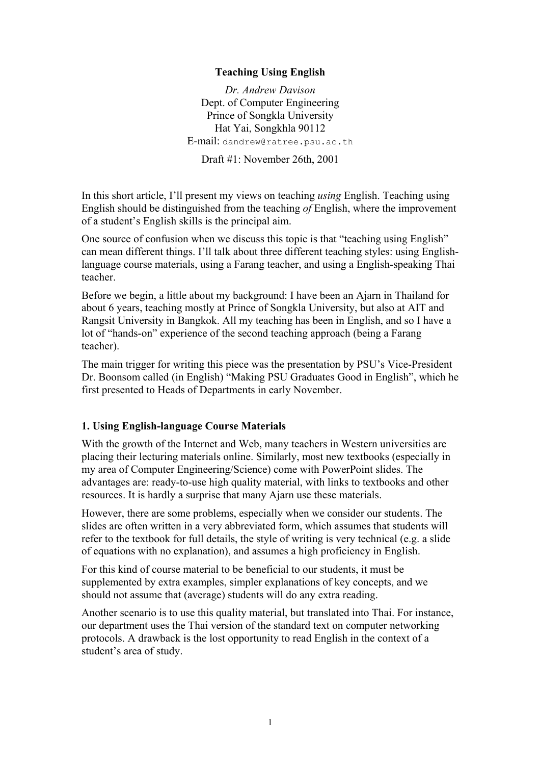## **Teaching Using English**

*Dr. Andrew Davison* Dept. of Computer Engineering Prince of Songkla University Hat Yai, Songkhla 90112 E-mail: dandrew@ratree.psu.ac.th

Draft #1: November 26th, 2001

In this short article, I'll present my views on teaching *using* English. Teaching using English should be distinguished from the teaching *of* English, where the improvement of a student's English skills is the principal aim.

One source of confusion when we discuss this topic is that "teaching using English" can mean different things. I'll talk about three different teaching styles: using Englishlanguage course materials, using a Farang teacher, and using a English-speaking Thai teacher.

Before we begin, a little about my background: I have been an Ajarn in Thailand for about 6 years, teaching mostly at Prince of Songkla University, but also at AIT and Rangsit University in Bangkok. All my teaching has been in English, and so I have a lot of "hands-on" experience of the second teaching approach (being a Farang teacher).

The main trigger for writing this piece was the presentation by PSU's Vice-President Dr. Boonsom called (in English) "Making PSU Graduates Good in English", which he first presented to Heads of Departments in early November.

## **1. Using English-language Course Materials**

With the growth of the Internet and Web, many teachers in Western universities are placing their lecturing materials online. Similarly, most new textbooks (especially in my area of Computer Engineering/Science) come with PowerPoint slides. The advantages are: ready-to-use high quality material, with links to textbooks and other resources. It is hardly a surprise that many Ajarn use these materials.

However, there are some problems, especially when we consider our students. The slides are often written in a very abbreviated form, which assumes that students will refer to the textbook for full details, the style of writing is very technical (e.g. a slide of equations with no explanation), and assumes a high proficiency in English.

For this kind of course material to be beneficial to our students, it must be supplemented by extra examples, simpler explanations of key concepts, and we should not assume that (average) students will do any extra reading.

Another scenario is to use this quality material, but translated into Thai. For instance, our department uses the Thai version of the standard text on computer networking protocols. A drawback is the lost opportunity to read English in the context of a student's area of study.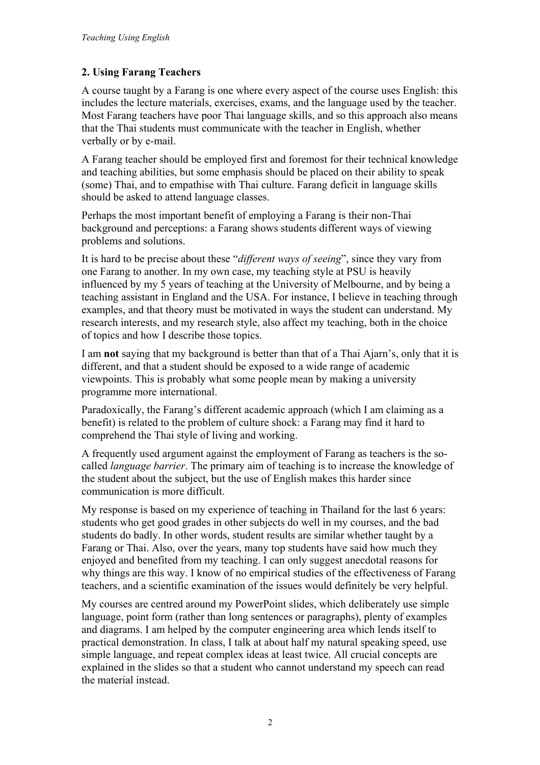## **2. Using Farang Teachers**

A course taught by a Farang is one where every aspect of the course uses English: this includes the lecture materials, exercises, exams, and the language used by the teacher. Most Farang teachers have poor Thai language skills, and so this approach also means that the Thai students must communicate with the teacher in English, whether verbally or by e-mail.

A Farang teacher should be employed first and foremost for their technical knowledge and teaching abilities, but some emphasis should be placed on their ability to speak (some) Thai, and to empathise with Thai culture. Farang deficit in language skills should be asked to attend language classes.

Perhaps the most important benefit of employing a Farang is their non-Thai background and perceptions: a Farang shows students different ways of viewing problems and solutions.

It is hard to be precise about these "*different ways of seeing*", since they vary from one Farang to another. In my own case, my teaching style at PSU is heavily influenced by my 5 years of teaching at the University of Melbourne, and by being a teaching assistant in England and the USA. For instance, I believe in teaching through examples, and that theory must be motivated in ways the student can understand. My research interests, and my research style, also affect my teaching, both in the choice of topics and how I describe those topics.

I am **not** saying that my background is better than that of a Thai Ajarn's, only that it is different, and that a student should be exposed to a wide range of academic viewpoints. This is probably what some people mean by making a university programme more international.

Paradoxically, the Farang's different academic approach (which I am claiming as a benefit) is related to the problem of culture shock: a Farang may find it hard to comprehend the Thai style of living and working.

A frequently used argument against the employment of Farang as teachers is the socalled *language barrier*. The primary aim of teaching is to increase the knowledge of the student about the subject, but the use of English makes this harder since communication is more difficult.

My response is based on my experience of teaching in Thailand for the last 6 years: students who get good grades in other subjects do well in my courses, and the bad students do badly. In other words, student results are similar whether taught by a Farang or Thai. Also, over the years, many top students have said how much they enjoyed and benefited from my teaching. I can only suggest anecdotal reasons for why things are this way. I know of no empirical studies of the effectiveness of Farang teachers, and a scientific examination of the issues would definitely be very helpful.

My courses are centred around my PowerPoint slides, which deliberately use simple language, point form (rather than long sentences or paragraphs), plenty of examples and diagrams. I am helped by the computer engineering area which lends itself to practical demonstration. In class, I talk at about half my natural speaking speed, use simple language, and repeat complex ideas at least twice. All crucial concepts are explained in the slides so that a student who cannot understand my speech can read the material instead.